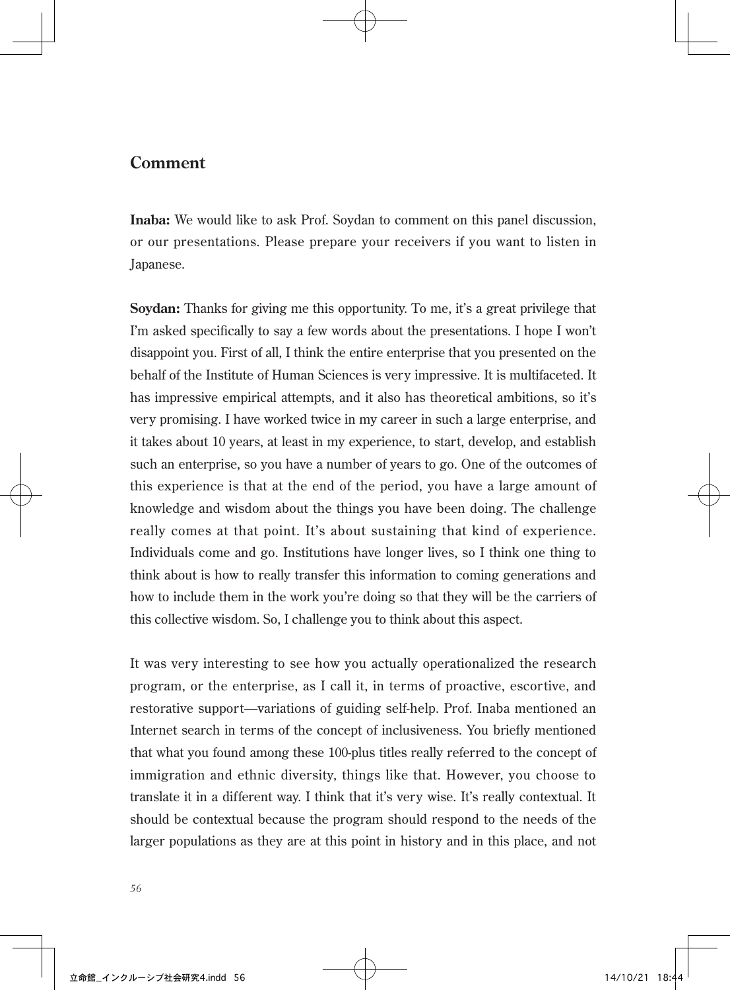## **Comment**

**Inaba:** We would like to ask Prof. Soydan to comment on this panel discussion, or our presentations. Please prepare your receivers if you want to listen in Japanese.

**Soydan:** Thanks for giving me this opportunity. To me, it's a great privilege that I'm asked specifically to say a few words about the presentations. I hope I won't disappoint you. First of all, I think the entire enterprise that you presented on the behalf of the Institute of Human Sciences is very impressive. It is multifaceted. It has impressive empirical attempts, and it also has theoretical ambitions, so it's very promising. I have worked twice in my career in such a large enterprise, and it takes about 10 years, at least in my experience, to start, develop, and establish such an enterprise, so you have a number of years to go. One of the outcomes of this experience is that at the end of the period, you have a large amount of knowledge and wisdom about the things you have been doing. The challenge really comes at that point. It's about sustaining that kind of experience. Individuals come and go. Institutions have longer lives, so I think one thing to think about is how to really transfer this information to coming generations and how to include them in the work you're doing so that they will be the carriers of this collective wisdom. So, I challenge you to think about this aspect.

It was very interesting to see how you actually operationalized the research program, or the enterprise, as I call it, in terms of proactive, escortive, and restorative support—variations of guiding self-help. Prof. Inaba mentioned an Internet search in terms of the concept of inclusiveness. You briefly mentioned that what you found among these 100-plus titles really referred to the concept of immigration and ethnic diversity, things like that. However, you choose to translate it in a different way. I think that it's very wise. It's really contextual. It should be contextual because the program should respond to the needs of the larger populations as they are at this point in history and in this place, and not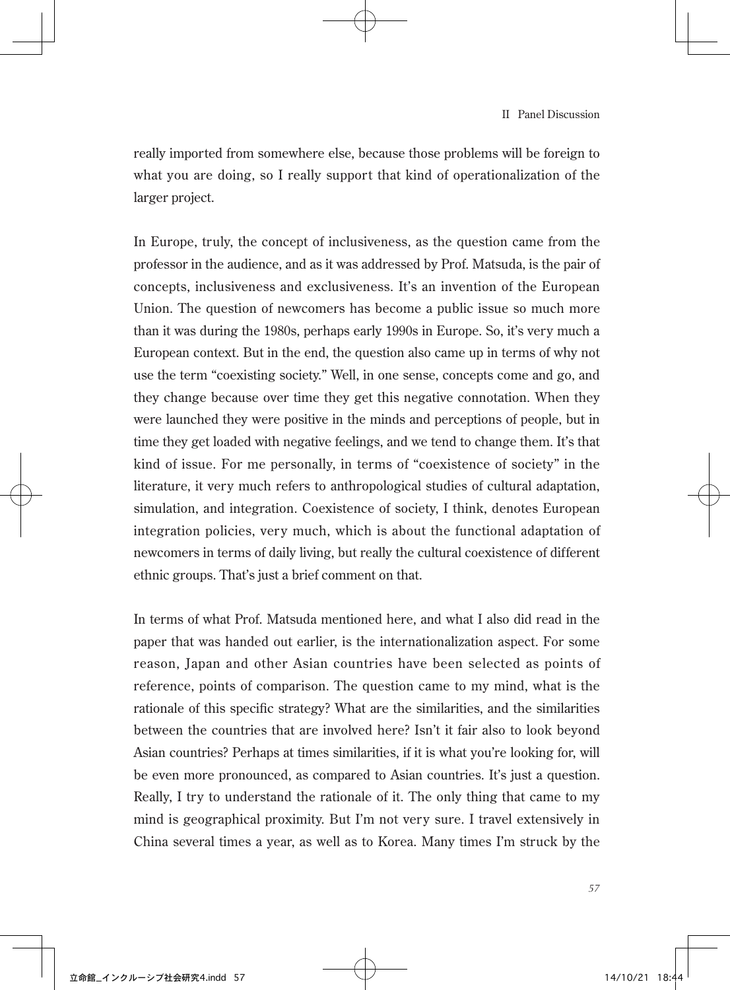really imported from somewhere else, because those problems will be foreign to what you are doing, so I really support that kind of operationalization of the larger project.

In Europe, truly, the concept of inclusiveness, as the question came from the professor in the audience, and as it was addressed by Prof. Matsuda, is the pair of concepts, inclusiveness and exclusiveness. It's an invention of the European Union. The question of newcomers has become a public issue so much more than it was during the 1980s, perhaps early 1990s in Europe. So, it's very much a European context. But in the end, the question also came up in terms of why not use the term "coexisting society." Well, in one sense, concepts come and go, and they change because over time they get this negative connotation. When they were launched they were positive in the minds and perceptions of people, but in time they get loaded with negative feelings, and we tend to change them. It's that kind of issue. For me personally, in terms of "coexistence of society" in the literature, it very much refers to anthropological studies of cultural adaptation, simulation, and integration. Coexistence of society, I think, denotes European integration policies, very much, which is about the functional adaptation of newcomers in terms of daily living, but really the cultural coexistence of different ethnic groups. That's just a brief comment on that.

In terms of what Prof. Matsuda mentioned here, and what I also did read in the paper that was handed out earlier, is the internationalization aspect. For some reason, Japan and other Asian countries have been selected as points of reference, points of comparison. The question came to my mind, what is the rationale of this specific strategy? What are the similarities, and the similarities between the countries that are involved here? Isn't it fair also to look beyond Asian countries? Perhaps at times similarities, if it is what you're looking for, will be even more pronounced, as compared to Asian countries. It's just a question. Really, I try to understand the rationale of it. The only thing that came to my mind is geographical proximity. But I'm not very sure. I travel extensively in China several times a year, as well as to Korea. Many times I'm struck by the